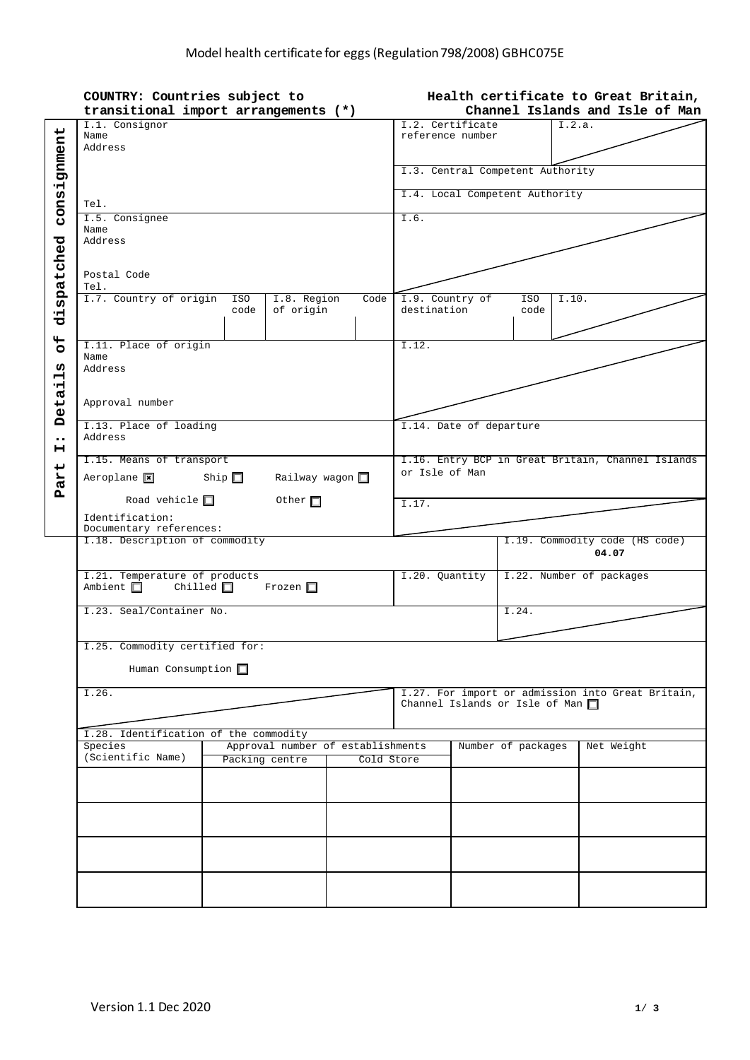|                  | COUNTRY: Countries subject to                                                          |                                |              |                    |                                                   | Health certificate to Great Britain, |                                                                     |                          |                                |  |
|------------------|----------------------------------------------------------------------------------------|--------------------------------|--------------|--------------------|---------------------------------------------------|--------------------------------------|---------------------------------------------------------------------|--------------------------|--------------------------------|--|
|                  | transitional import arrangements (*)                                                   |                                |              |                    | Channel Islands and Isle of Man                   |                                      |                                                                     |                          |                                |  |
|                  | I.1. Consignor                                                                         | I.2. Certificate               |              | I.2.a.             |                                                   |                                      |                                                                     |                          |                                |  |
|                  | Name<br>Address                                                                        |                                |              |                    |                                                   | reference number                     |                                                                     |                          |                                |  |
|                  |                                                                                        |                                |              |                    |                                                   |                                      |                                                                     |                          |                                |  |
| consignment      |                                                                                        |                                |              |                    | I.3. Central Competent Authority                  |                                      |                                                                     |                          |                                |  |
|                  |                                                                                        | I.4. Local Competent Authority |              |                    |                                                   |                                      |                                                                     |                          |                                |  |
|                  | Tel.                                                                                   |                                |              |                    |                                                   |                                      |                                                                     |                          |                                |  |
|                  | I.5. Consignee                                                                         |                                |              |                    |                                                   |                                      | I.6.                                                                |                          |                                |  |
|                  | Name<br>Address                                                                        |                                |              |                    |                                                   |                                      |                                                                     |                          |                                |  |
|                  |                                                                                        |                                |              |                    |                                                   |                                      |                                                                     |                          |                                |  |
|                  |                                                                                        |                                |              |                    |                                                   |                                      |                                                                     |                          |                                |  |
| dispatched       | Postal Code<br>Tel.                                                                    |                                |              |                    |                                                   |                                      |                                                                     |                          |                                |  |
|                  | I.7. Country of origin                                                                 | ISO                            | I.8. Region  | Code               | I.9. Country of                                   |                                      | ISO                                                                 | I.10.                    |                                |  |
|                  |                                                                                        | code                           | of origin    |                    | destination                                       |                                      | code                                                                |                          |                                |  |
|                  |                                                                                        |                                |              |                    |                                                   |                                      |                                                                     |                          |                                |  |
| $\frac{4}{5}$    | I.11. Place of origin                                                                  |                                |              |                    | I.12.                                             |                                      |                                                                     |                          |                                |  |
| w                | Name                                                                                   |                                |              |                    |                                                   |                                      |                                                                     |                          |                                |  |
| $\blacksquare$   | Address                                                                                |                                |              |                    |                                                   |                                      |                                                                     |                          |                                |  |
| Detai            |                                                                                        |                                |              |                    |                                                   |                                      |                                                                     |                          |                                |  |
|                  | Approval number                                                                        |                                |              |                    |                                                   |                                      |                                                                     |                          |                                |  |
|                  | I.13. Place of loading                                                                 |                                |              |                    | I.14. Date of departure                           |                                      |                                                                     |                          |                                |  |
| $\bullet\bullet$ | Address                                                                                |                                |              |                    |                                                   |                                      |                                                                     |                          |                                |  |
| н                | I.15. Means of transport                                                               |                                |              |                    |                                                   |                                      |                                                                     |                          |                                |  |
| art              |                                                                                        | Railway wagon                  |              |                    |                                                   |                                      | I.16. Entry BCP in Great Britain, Channel Islands<br>or Isle of Man |                          |                                |  |
| Ã                | $Aeroplane$ $\overline{\mathbf{x}}$                                                    | Ship $\square$                 |              |                    |                                                   |                                      |                                                                     |                          |                                |  |
|                  | Road vehicle $\square$                                                                 |                                | Other $\Box$ |                    | I.17.                                             |                                      |                                                                     |                          |                                |  |
|                  | Identification:                                                                        |                                |              |                    |                                                   |                                      |                                                                     |                          |                                |  |
|                  | Documentary references:<br>I.18. Description of commodity                              |                                |              |                    |                                                   |                                      |                                                                     |                          | I.19. Commodity code (HS code) |  |
|                  |                                                                                        |                                |              |                    |                                                   |                                      |                                                                     |                          | 04.07                          |  |
|                  |                                                                                        |                                |              |                    |                                                   |                                      |                                                                     |                          |                                |  |
|                  | I.21. Temperature of products<br>Ambient $\square$<br>Chilled $\Box$ Frozen $\Box$     |                                |              |                    |                                                   | I.20. Quantity                       |                                                                     | I.22. Number of packages |                                |  |
|                  |                                                                                        |                                |              |                    |                                                   |                                      |                                                                     |                          |                                |  |
|                  | I.23. Seal/Container No.                                                               |                                |              |                    |                                                   |                                      | I.24.                                                               |                          |                                |  |
|                  |                                                                                        |                                |              |                    |                                                   |                                      |                                                                     |                          |                                |  |
|                  | I.25. Commodity certified for:                                                         |                                |              |                    |                                                   |                                      |                                                                     |                          |                                |  |
|                  | Human Consumption $\Box$                                                               |                                |              |                    |                                                   |                                      |                                                                     |                          |                                |  |
|                  |                                                                                        |                                |              |                    |                                                   |                                      |                                                                     |                          |                                |  |
|                  | I.26.                                                                                  |                                |              |                    | I.27. For import or admission into Great Britain, |                                      |                                                                     |                          |                                |  |
|                  |                                                                                        |                                |              |                    | Channel Islands or Isle of Man $\square$          |                                      |                                                                     |                          |                                |  |
|                  |                                                                                        |                                |              |                    |                                                   |                                      |                                                                     |                          |                                |  |
|                  | I.28. Identification of the commodity<br>Species                                       |                                |              | Number of packages |                                                   | Net Weight                           |                                                                     |                          |                                |  |
|                  | Approval number of establishments<br>(Scientific Name)<br>Packing centre<br>Cold Store |                                |              |                    |                                                   |                                      |                                                                     |                          |                                |  |
|                  |                                                                                        |                                |              |                    |                                                   |                                      |                                                                     |                          |                                |  |
|                  |                                                                                        |                                |              |                    |                                                   |                                      |                                                                     |                          |                                |  |
|                  |                                                                                        |                                |              |                    |                                                   |                                      |                                                                     |                          |                                |  |
|                  |                                                                                        |                                |              |                    |                                                   |                                      |                                                                     |                          |                                |  |
|                  |                                                                                        |                                |              |                    |                                                   |                                      |                                                                     |                          |                                |  |
|                  |                                                                                        |                                |              |                    |                                                   |                                      |                                                                     |                          |                                |  |
|                  |                                                                                        |                                |              |                    |                                                   |                                      |                                                                     |                          |                                |  |
|                  |                                                                                        |                                |              |                    |                                                   |                                      |                                                                     |                          |                                |  |
|                  |                                                                                        |                                |              |                    |                                                   |                                      |                                                                     |                          |                                |  |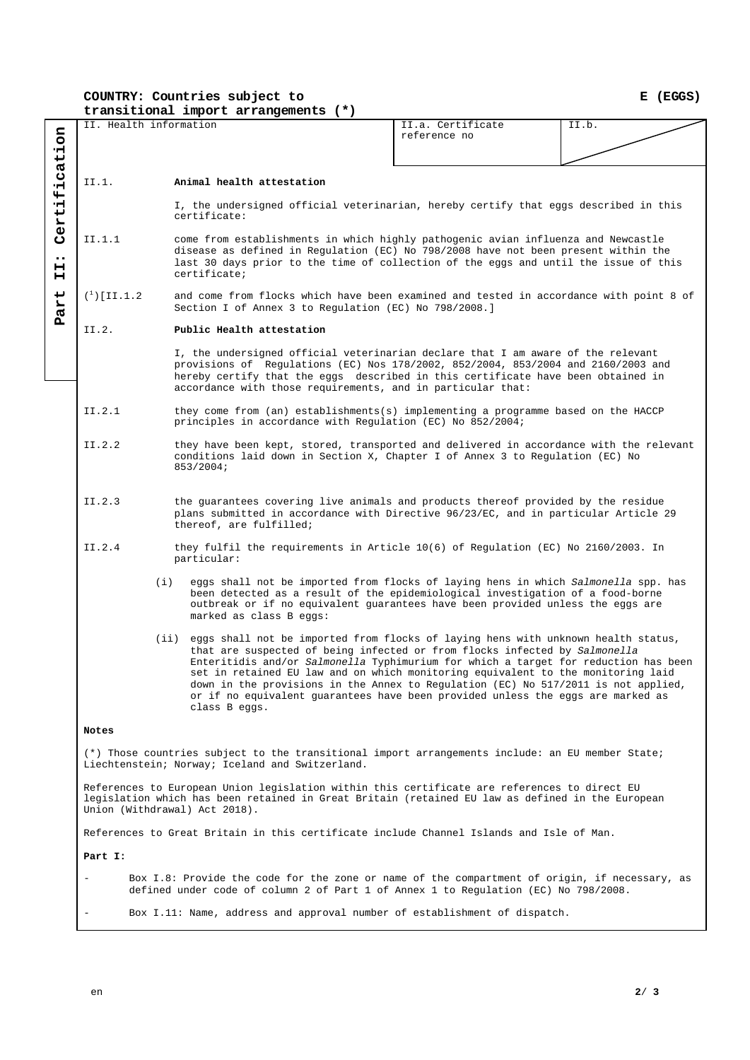**COUNTRY: Countries subject to** 

**E (EGGS)**

|                            | transitional import arrangements (*)                                                                                                                                                                                              |                                                                                                                                                                                                                                                                                                                          |                                                                                                                                                                                                                                                                                                                                                                                                                                                                                                                                      |                   |       |  |  |  |  |
|----------------------------|-----------------------------------------------------------------------------------------------------------------------------------------------------------------------------------------------------------------------------------|--------------------------------------------------------------------------------------------------------------------------------------------------------------------------------------------------------------------------------------------------------------------------------------------------------------------------|--------------------------------------------------------------------------------------------------------------------------------------------------------------------------------------------------------------------------------------------------------------------------------------------------------------------------------------------------------------------------------------------------------------------------------------------------------------------------------------------------------------------------------------|-------------------|-------|--|--|--|--|
|                            | II. Health information                                                                                                                                                                                                            |                                                                                                                                                                                                                                                                                                                          |                                                                                                                                                                                                                                                                                                                                                                                                                                                                                                                                      | II.a. Certificate | II.b. |  |  |  |  |
|                            |                                                                                                                                                                                                                                   |                                                                                                                                                                                                                                                                                                                          |                                                                                                                                                                                                                                                                                                                                                                                                                                                                                                                                      | reference no      |       |  |  |  |  |
|                            |                                                                                                                                                                                                                                   |                                                                                                                                                                                                                                                                                                                          |                                                                                                                                                                                                                                                                                                                                                                                                                                                                                                                                      |                   |       |  |  |  |  |
|                            | II.1.<br>Animal health attestation                                                                                                                                                                                                |                                                                                                                                                                                                                                                                                                                          |                                                                                                                                                                                                                                                                                                                                                                                                                                                                                                                                      |                   |       |  |  |  |  |
| Certification              | I, the undersigned official veterinarian, hereby certify that eggs described in this<br>certificate:                                                                                                                              |                                                                                                                                                                                                                                                                                                                          |                                                                                                                                                                                                                                                                                                                                                                                                                                                                                                                                      |                   |       |  |  |  |  |
| $\bullet\bullet$<br>н<br>н | II.1.1                                                                                                                                                                                                                            | come from establishments in which highly pathogenic avian influenza and Newcastle<br>disease as defined in Regulation (EC) No 798/2008 have not been present within the<br>last 30 days prior to the time of collection of the eggs and until the issue of this<br>certificate;                                          |                                                                                                                                                                                                                                                                                                                                                                                                                                                                                                                                      |                   |       |  |  |  |  |
| art                        | $({}^{1})$ [II.1.2                                                                                                                                                                                                                |                                                                                                                                                                                                                                                                                                                          | and come from flocks which have been examined and tested in accordance with point 8 of<br>Section I of Annex 3 to Regulation (EC) No 798/2008.]                                                                                                                                                                                                                                                                                                                                                                                      |                   |       |  |  |  |  |
| д                          | II.2.                                                                                                                                                                                                                             | Public Health attestation                                                                                                                                                                                                                                                                                                |                                                                                                                                                                                                                                                                                                                                                                                                                                                                                                                                      |                   |       |  |  |  |  |
|                            |                                                                                                                                                                                                                                   | I, the undersigned official veterinarian declare that I am aware of the relevant<br>provisions of Regulations (EC) Nos 178/2002, 852/2004, 853/2004 and 2160/2003 and<br>hereby certify that the eggs described in this certificate have been obtained in<br>accordance with those requirements, and in particular that: |                                                                                                                                                                                                                                                                                                                                                                                                                                                                                                                                      |                   |       |  |  |  |  |
|                            | II.2.1                                                                                                                                                                                                                            | they come from (an) establishments(s) implementing a programme based on the HACCP<br>principles in accordance with Regulation (EC) No 852/2004;                                                                                                                                                                          |                                                                                                                                                                                                                                                                                                                                                                                                                                                                                                                                      |                   |       |  |  |  |  |
|                            | II.2.2                                                                                                                                                                                                                            | they have been kept, stored, transported and delivered in accordance with the relevant<br>conditions laid down in Section X, Chapter I of Annex 3 to Regulation (EC) No<br>853/2004;                                                                                                                                     |                                                                                                                                                                                                                                                                                                                                                                                                                                                                                                                                      |                   |       |  |  |  |  |
|                            | II.2.3                                                                                                                                                                                                                            | the guarantees covering live animals and products thereof provided by the residue<br>plans submitted in accordance with Directive 96/23/EC, and in particular Article 29<br>thereof, are fulfilled;                                                                                                                      |                                                                                                                                                                                                                                                                                                                                                                                                                                                                                                                                      |                   |       |  |  |  |  |
|                            | II.2.4                                                                                                                                                                                                                            | they fulfil the requirements in Article 10(6) of Regulation (EC) No 2160/2003. In<br>particular:                                                                                                                                                                                                                         |                                                                                                                                                                                                                                                                                                                                                                                                                                                                                                                                      |                   |       |  |  |  |  |
|                            |                                                                                                                                                                                                                                   | (i)                                                                                                                                                                                                                                                                                                                      | eggs shall not be imported from flocks of laying hens in which Salmonella spp. has<br>been detected as a result of the epidemiological investigation of a food-borne<br>outbreak or if no equivalent guarantees have been provided unless the eggs are<br>marked as class B eggs:                                                                                                                                                                                                                                                    |                   |       |  |  |  |  |
|                            |                                                                                                                                                                                                                                   | (i)                                                                                                                                                                                                                                                                                                                      | eggs shall not be imported from flocks of laying hens with unknown health status,<br>that are suspected of being infected or from flocks infected by Salmonella<br>Enteritidis and/or Salmonella Typhimurium for which a target for reduction has been<br>set in retained EU law and on which monitoring equivalent to the monitoring laid<br>down in the provisions in the Annex to Regulation (EC) No 517/2011 is not applied,<br>or if no equivalent quarantees have been provided unless the eqqs are marked as<br>class B eggs. |                   |       |  |  |  |  |
|                            | Notes                                                                                                                                                                                                                             |                                                                                                                                                                                                                                                                                                                          |                                                                                                                                                                                                                                                                                                                                                                                                                                                                                                                                      |                   |       |  |  |  |  |
|                            | (*) Those countries subject to the transitional import arrangements include: an EU member State;<br>Liechtenstein; Norway; Iceland and Switzerland.                                                                               |                                                                                                                                                                                                                                                                                                                          |                                                                                                                                                                                                                                                                                                                                                                                                                                                                                                                                      |                   |       |  |  |  |  |
|                            | References to European Union legislation within this certificate are references to direct EU<br>legislation which has been retained in Great Britain (retained EU law as defined in the European<br>Union (Withdrawal) Act 2018). |                                                                                                                                                                                                                                                                                                                          |                                                                                                                                                                                                                                                                                                                                                                                                                                                                                                                                      |                   |       |  |  |  |  |
|                            | References to Great Britain in this certificate include Channel Islands and Isle of Man.                                                                                                                                          |                                                                                                                                                                                                                                                                                                                          |                                                                                                                                                                                                                                                                                                                                                                                                                                                                                                                                      |                   |       |  |  |  |  |
|                            | Part I:                                                                                                                                                                                                                           |                                                                                                                                                                                                                                                                                                                          |                                                                                                                                                                                                                                                                                                                                                                                                                                                                                                                                      |                   |       |  |  |  |  |
|                            |                                                                                                                                                                                                                                   | Box I.8: Provide the code for the zone or name of the compartment of origin, if necessary, as<br>defined under code of column 2 of Part 1 of Annex 1 to Regulation (EC) No 798/2008.                                                                                                                                     |                                                                                                                                                                                                                                                                                                                                                                                                                                                                                                                                      |                   |       |  |  |  |  |
|                            | Box I.11: Name, address and approval number of establishment of dispatch.                                                                                                                                                         |                                                                                                                                                                                                                                                                                                                          |                                                                                                                                                                                                                                                                                                                                                                                                                                                                                                                                      |                   |       |  |  |  |  |